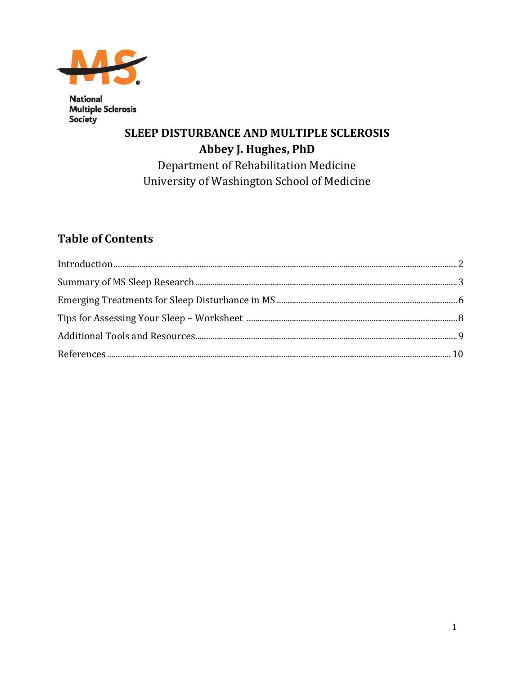

**National Multiple Sclerosis** Society

# SLEEP DISTURBANCE AND MULTIPLE SCLEROSIS Abbey J. Hughes, PhD

Department of Rehabilitation Medicine University of Washington School of Medicine

## **Table of Contents**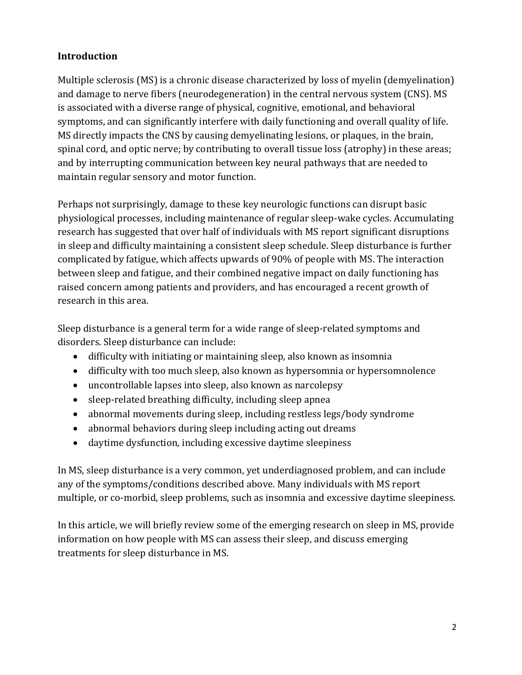## <span id="page-1-0"></span>**Introduction**

Multiple sclerosis (MS) is a chronic disease characterized by loss of myelin (demyelination) and damage to nerve fibers (neurodegeneration) in the central nervous system (CNS). MS is associated with a diverse range of physical, cognitive, emotional, and behavioral symptoms, and can significantly interfere with daily functioning and overall quality of life. MS directly impacts the CNS by causing demyelinating lesions, or plaques, in the brain, spinal cord, and optic nerve; by contributing to overall tissue loss (atrophy) in these areas; and by interrupting communication between key neural pathways that are needed to maintain regular sensory and motor function.

Perhaps not surprisingly, damage to these key neurologic functions can disrupt basic physiological processes, including maintenance of regular sleep-wake cycles. Accumulating research has suggested that over half of individuals with MS report significant disruptions in sleep and difficulty maintaining a consistent sleep schedule. Sleep disturbance is further complicated by fatigue, which affects upwards of 90% of people with MS. The interaction between sleep and fatigue, and their combined negative impact on daily functioning has raised concern among patients and providers, and has encouraged a recent growth of research in this area.

Sleep disturbance is a general term for a wide range of sleep-related symptoms and disorders. Sleep disturbance can include:

- difficulty with initiating or maintaining sleep, also known as insomnia
- difficulty with too much sleep, also known as hypersomnia or hypersomnolence
- uncontrollable lapses into sleep, also known as narcolepsy
- sleep-related breathing difficulty, including sleep apnea
- abnormal movements during sleep, including restless legs/body syndrome
- abnormal behaviors during sleep including acting out dreams
- daytime dysfunction, including excessive daytime sleepiness

In MS, sleep disturbance is a very common, yet underdiagnosed problem, and can include any of the symptoms/conditions described above. Many individuals with MS report multiple, or co-morbid, sleep problems, such as insomnia and excessive daytime sleepiness.

In this article, we will briefly review some of the emerging research on sleep in MS, provide information on how people with MS can assess their sleep, and discuss emerging treatments for sleep disturbance in MS.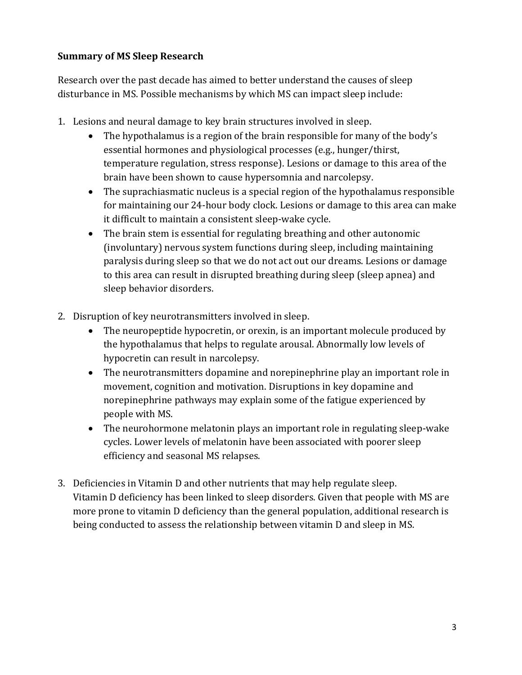## <span id="page-2-0"></span>**Summary of MS Sleep Research**

Research over the past decade has aimed to better understand the causes of sleep disturbance in MS. Possible mechanisms by which MS can impact sleep include:

- 1. Lesions and neural damage to key brain structures involved in sleep.
	- The hypothalamus is a region of the brain responsible for many of the body's essential hormones and physiological processes (e.g., hunger/thirst, temperature regulation, stress response). Lesions or damage to this area of the brain have been shown to cause hypersomnia and narcolepsy.
	- The suprachiasmatic nucleus is a special region of the hypothalamus responsible for maintaining our 24-hour body clock. Lesions or damage to this area can make it difficult to maintain a consistent sleep-wake cycle.
	- The brain stem is essential for regulating breathing and other autonomic (involuntary) nervous system functions during sleep, including maintaining paralysis during sleep so that we do not act out our dreams. Lesions or damage to this area can result in disrupted breathing during sleep (sleep apnea) and sleep behavior disorders.
- 2. Disruption of key neurotransmitters involved in sleep.
	- The neuropeptide hypocretin, or orexin, is an important molecule produced by the hypothalamus that helps to regulate arousal. Abnormally low levels of hypocretin can result in narcolepsy.
	- The neurotransmitters dopamine and norepinephrine play an important role in movement, cognition and motivation. Disruptions in key dopamine and norepinephrine pathways may explain some of the fatigue experienced by people with MS.
	- The neurohormone melatonin plays an important role in regulating sleep-wake cycles. Lower levels of melatonin have been associated with poorer sleep efficiency and seasonal MS relapses.
- 3. Deficiencies in Vitamin D and other nutrients that may help regulate sleep. Vitamin D deficiency has been linked to sleep disorders. Given that people with MS are more prone to vitamin D deficiency than the general population, additional research is being conducted to assess the relationship between vitamin D and sleep in MS.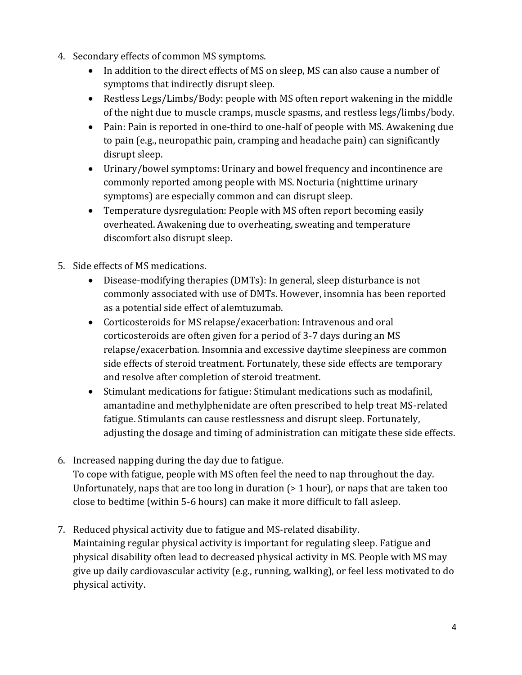- 4. Secondary effects of common MS symptoms.
	- In addition to the direct effects of MS on sleep, MS can also cause a number of symptoms that indirectly disrupt sleep.
	- Restless Legs/Limbs/Body: people with MS often report wakening in the middle of the night due to muscle cramps, muscle spasms, and restless legs/limbs/body.
	- Pain: Pain is reported in one-third to one-half of people with MS. Awakening due to pain (e.g., neuropathic pain, cramping and headache pain) can significantly disrupt sleep.
	- Urinary/bowel symptoms: Urinary and bowel frequency and incontinence are commonly reported among people with MS. Nocturia (nighttime urinary symptoms) are especially common and can disrupt sleep.
	- Temperature dysregulation: People with MS often report becoming easily overheated. Awakening due to overheating, sweating and temperature discomfort also disrupt sleep.
- 5. Side effects of MS medications.
	- Disease-modifying therapies (DMTs): In general, sleep disturbance is not commonly associated with use of DMTs. However, insomnia has been reported as a potential side effect of alemtuzumab.
	- Corticosteroids for MS relapse/exacerbation: Intravenous and oral corticosteroids are often given for a period of 3-7 days during an MS relapse/exacerbation. Insomnia and excessive daytime sleepiness are common side effects of steroid treatment. Fortunately, these side effects are temporary and resolve after completion of steroid treatment.
	- Stimulant medications for fatigue: Stimulant medications such as modafinil, amantadine and methylphenidate are often prescribed to help treat MS-related fatigue. Stimulants can cause restlessness and disrupt sleep. Fortunately, adjusting the dosage and timing of administration can mitigate these side effects.
- 6. Increased napping during the day due to fatigue. To cope with fatigue, people with MS often feel the need to nap throughout the day. Unfortunately, naps that are too long in duration (> 1 hour), or naps that are taken too close to bedtime (within 5-6 hours) can make it more difficult to fall asleep.
- 7. Reduced physical activity due to fatigue and MS-related disability. Maintaining regular physical activity is important for regulating sleep. Fatigue and physical disability often lead to decreased physical activity in MS. People with MS may give up daily cardiovascular activity (e.g., running, walking), or feel less motivated to do physical activity.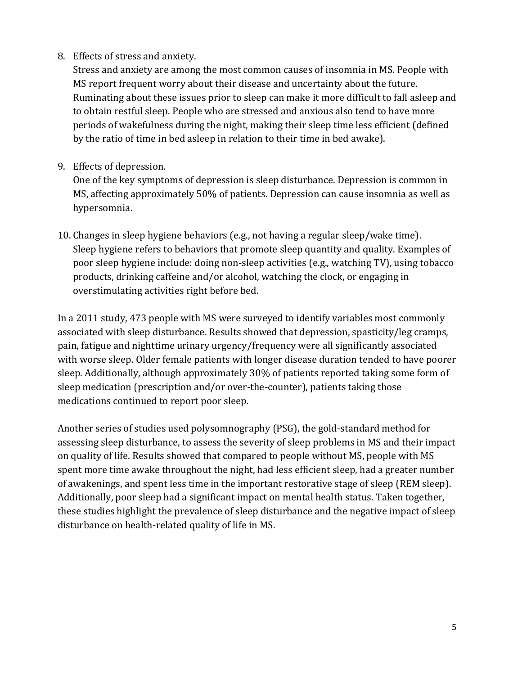#### 8. Effects of stress and anxiety.

Stress and anxiety are among the most common causes of insomnia in MS. People with MS report frequent worry about their disease and uncertainty about the future. Ruminating about these issues prior to sleep can make it more difficult to fall asleep and to obtain restful sleep. People who are stressed and anxious also tend to have more periods of wakefulness during the night, making their sleep time less efficient (defined by the ratio of time in bed asleep in relation to their time in bed awake).

9. Effects of depression.

One of the key symptoms of depression is sleep disturbance. Depression is common in MS, affecting approximately 50% of patients. Depression can cause insomnia as well as hypersomnia.

10. Changes in sleep hygiene behaviors (e.g., not having a regular sleep/wake time). Sleep hygiene refers to behaviors that promote sleep quantity and quality. Examples of poor sleep hygiene include: doing non-sleep activities (e.g., watching TV), using tobacco products, drinking caffeine and/or alcohol, watching the clock, or engaging in overstimulating activities right before bed.

In a 2011 study, 473 people with MS were surveyed to identify variables most commonly associated with sleep disturbance. Results showed that depression, spasticity/leg cramps, pain, fatigue and nighttime urinary urgency/frequency were all significantly associated with worse sleep. Older female patients with longer disease duration tended to have poorer sleep. Additionally, although approximately 30% of patients reported taking some form of sleep medication (prescription and/or over-the-counter), patients taking those medications continued to report poor sleep.

<span id="page-4-0"></span>Another series of studies used polysomnography (PSG), the gold-standard method for assessing sleep disturbance, to assess the severity of sleep problems in MS and their impact on quality of life. Results showed that compared to people without MS, people with MS spent more time awake throughout the night, had less efficient sleep, had a greater number of awakenings, and spent less time in the important restorative stage of sleep (REM sleep). Additionally, poor sleep had a significant impact on mental health status. Taken together, these studies highlight the prevalence of sleep disturbance and the negative impact of sleep disturbance on health-related quality of life in MS.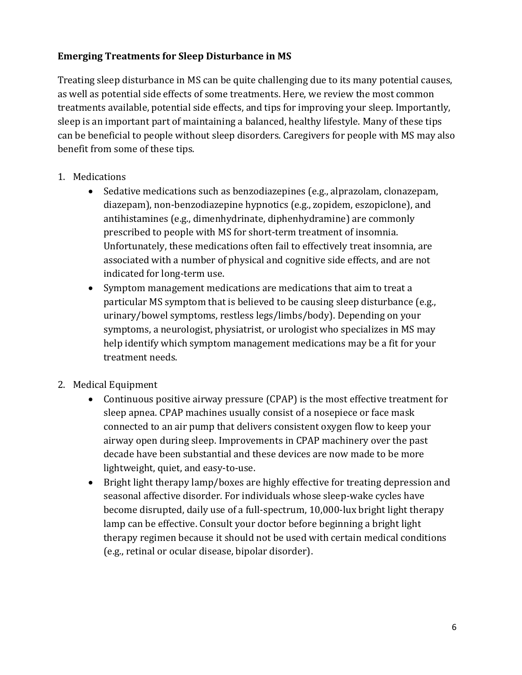## **Emerging Treatments for Sleep Disturbance in MS**

Treating sleep disturbance in MS can be quite challenging due to its many potential causes, as well as potential side effects of some treatments. Here, we review the most common treatments available, potential side effects, and tips for improving your sleep. Importantly, sleep is an important part of maintaining a balanced, healthy lifestyle. Many of these tips can be beneficial to people without sleep disorders. Caregivers for people with MS may also benefit from some of these tips.

- 1. Medications
	- Sedative medications such as benzodiazepines (e.g., alprazolam, clonazepam, diazepam), non-benzodiazepine hypnotics (e.g., zopidem, eszopiclone), and antihistamines (e.g., dimenhydrinate, diphenhydramine) are commonly prescribed to people with MS for short-term treatment of insomnia. Unfortunately, these medications often fail to effectively treat insomnia, are associated with a number of physical and cognitive side effects, and are not indicated for long-term use.
	- Symptom management medications are medications that aim to treat a particular MS symptom that is believed to be causing sleep disturbance (e.g., urinary/bowel symptoms, restless legs/limbs/body). Depending on your symptoms, a neurologist, physiatrist, or urologist who specializes in MS may help identify which symptom management medications may be a fit for your treatment needs.
- 2. Medical Equipment
	- Continuous positive airway pressure (CPAP) is the most effective treatment for sleep apnea. CPAP machines usually consist of a nosepiece or face mask connected to an air pump that delivers consistent oxygen flow to keep your airway open during sleep. Improvements in CPAP machinery over the past decade have been substantial and these devices are now made to be more lightweight, quiet, and easy-to-use.
	- Bright light therapy lamp/boxes are highly effective for treating depression and seasonal affective disorder. For individuals whose sleep-wake cycles have become disrupted, daily use of a full-spectrum, 10,000-lux bright light therapy lamp can be effective. Consult your doctor before beginning a bright light therapy regimen because it should not be used with certain medical conditions (e.g., retinal or ocular disease, bipolar disorder).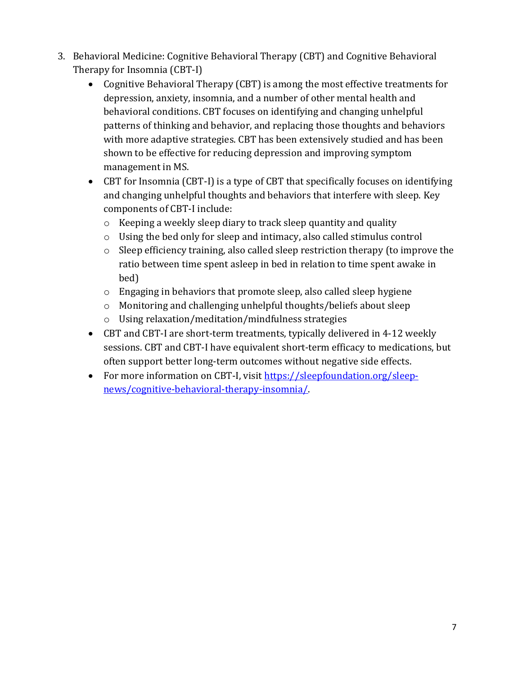- 3. Behavioral Medicine: Cognitive Behavioral Therapy (CBT) and Cognitive Behavioral Therapy for Insomnia (CBT-I)
	- Cognitive Behavioral Therapy (CBT) is among the most effective treatments for depression, anxiety, insomnia, and a number of other mental health and behavioral conditions. CBT focuses on identifying and changing unhelpful patterns of thinking and behavior, and replacing those thoughts and behaviors with more adaptive strategies. CBT has been extensively studied and has been shown to be effective for reducing depression and improving symptom management in MS.
	- CBT for Insomnia (CBT-I) is a type of CBT that specifically focuses on identifying and changing unhelpful thoughts and behaviors that interfere with sleep. Key components of CBT-I include:
		- o Keeping a weekly sleep diary to track sleep quantity and quality
		- o Using the bed only for sleep and intimacy, also called stimulus control
		- o Sleep efficiency training, also called sleep restriction therapy (to improve the ratio between time spent asleep in bed in relation to time spent awake in bed)
		- o Engaging in behaviors that promote sleep, also called sleep hygiene
		- o Monitoring and challenging unhelpful thoughts/beliefs about sleep
		- o Using relaxation/meditation/mindfulness strategies
	- CBT and CBT-I are short-term treatments, typically delivered in 4-12 weekly sessions. CBT and CBT-I have equivalent short-term efficacy to medications, but often support better long-term outcomes without negative side effects.
	- For more information on CBT-I, visit [https://sleepfoundation.org/sleep](https://sleepfoundation.org/sleep-news/cognitive-behavioral-therapy-insomnia/)[news/cognitive-behavioral-therapy-insomnia/.](https://sleepfoundation.org/sleep-news/cognitive-behavioral-therapy-insomnia/)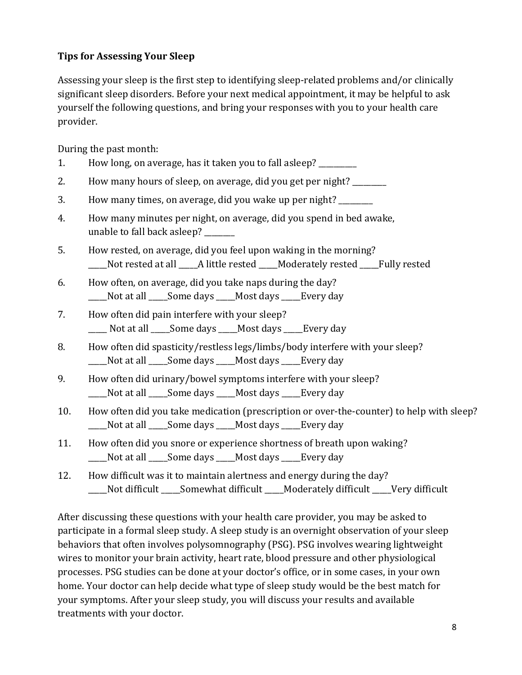## <span id="page-7-0"></span>**Tips for Assessing Your Sleep**

Assessing your sleep is the first step to identifying sleep-related problems and/or clinically significant sleep disorders. Before your next medical appointment, it may be helpful to ask yourself the following questions, and bring your responses with you to your health care provider.

During the past month:

- 1. How long, on average, has it taken you to fall asleep? \_\_\_\_\_\_\_\_\_
- 2. How many hours of sleep, on average, did you get per night?
- 3. How many times, on average, did you wake up per night? \_\_\_\_\_\_\_\_
- 4. How many minutes per night, on average, did you spend in bed awake, unable to fall back asleep? \_\_\_\_\_\_\_\_
- 5. How rested, on average, did you feel upon waking in the morning? \_\_\_\_\_Not rested at all \_\_\_\_\_A little rested \_\_\_\_\_Moderately rested \_\_\_\_\_Fully rested
- 6. How often, on average, did you take naps during the day? \_\_\_\_\_Not at all \_\_\_\_\_Some days \_\_\_\_\_Most days \_\_\_\_\_Every day
- 7. How often did pain interfere with your sleep? \_\_\_\_\_ Not at all \_\_\_\_\_Some days \_\_\_\_\_Most days \_\_\_\_\_Every day
- 8. How often did spasticity/restless legs/limbs/body interfere with your sleep? \_\_\_\_\_Not at all \_\_\_\_\_Some days \_\_\_\_\_Most days \_\_\_\_\_Every day
- 9. How often did urinary/bowel symptoms interfere with your sleep? \_\_\_\_\_Not at all \_\_\_\_\_Some days \_\_\_\_\_Most days \_\_\_\_\_Every day
- 10. How often did you take medication (prescription or over-the-counter) to help with sleep? \_\_\_\_\_Not at all \_\_\_\_\_Some days \_\_\_\_\_Most days \_\_\_\_\_Every day
- 11. How often did you snore or experience shortness of breath upon waking? \_\_\_\_\_Not at all \_\_\_\_\_Some days \_\_\_\_\_Most days \_\_\_\_\_Every day
- 12. How difficult was it to maintain alertness and energy during the day? \_\_\_\_\_Not difficult \_\_\_\_\_Somewhat difficult \_\_\_\_\_Moderately difficult \_\_\_\_\_Very difficult

After discussing these questions with your health care provider, you may be asked to participate in a formal sleep study. A sleep study is an overnight observation of your sleep behaviors that often involves polysomnography (PSG). PSG involves wearing lightweight wires to monitor your brain activity, heart rate, blood pressure and other physiological processes. PSG studies can be done at your doctor's office, or in some cases, in your own home. Your doctor can help decide what type of sleep study would be the best match for your symptoms. After your sleep study, you will discuss your results and available treatments with your doctor.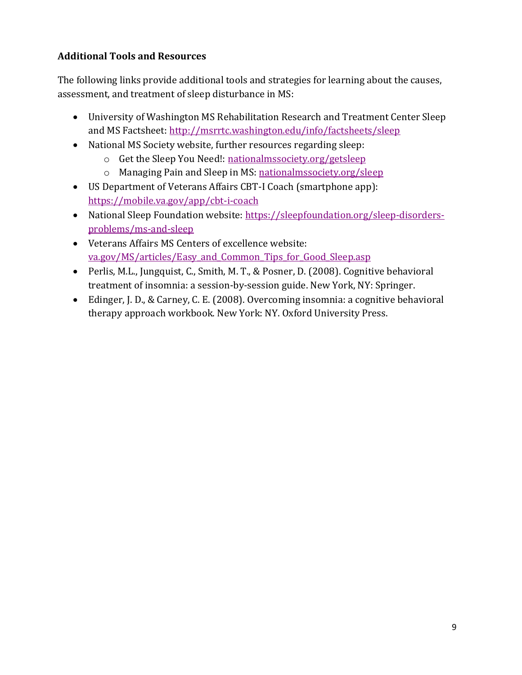## <span id="page-8-0"></span>**Additional Tools and Resources**

The following links provide additional tools and strategies for learning about the causes, assessment, and treatment of sleep disturbance in MS:

- University of Washington MS Rehabilitation Research and Treatment Center Sleep and MS Factsheet[: http://msrrtc.washington.edu/info/factsheets/sleep](http://msrrtc.washington.edu/info/factsheets/sleep)
- National MS Society website, further resources regarding sleep:
	- o Get the Sleep You Need!: [nationalmssociety.org/getsleep](http://www.nationalmssociety.org/GetSleep)
	- o Managing Pain and Sleep in MS: [nationalmssociety.org/sleep](http://www.nationalmssociety.org/sleep)
- US Department of Veterans Affairs CBT-I Coach (smartphone app): <https://mobile.va.gov/app/cbt-i-coach>
- National Sleep Foundation website[: https://sleepfoundation.org/sleep-disorders](https://sleepfoundation.org/sleep-disorders-problems/ms-and-sleep)[problems/ms-and-sleep](https://sleepfoundation.org/sleep-disorders-problems/ms-and-sleep)
- Veterans Affairs MS Centers of excellence website: va.gov/MS/articles/Easy and Common Tips for Good Sleep.asp
- Perlis, M.L., Jungquist, C., Smith, M. T., & Posner, D. (2008). Cognitive behavioral treatment of insomnia: a session-by-session guide. New York, NY: Springer.
- Edinger, J. D., & Carney, C. E. (2008). Overcoming insomnia: a cognitive behavioral therapy approach workbook. New York: NY. Oxford University Press.